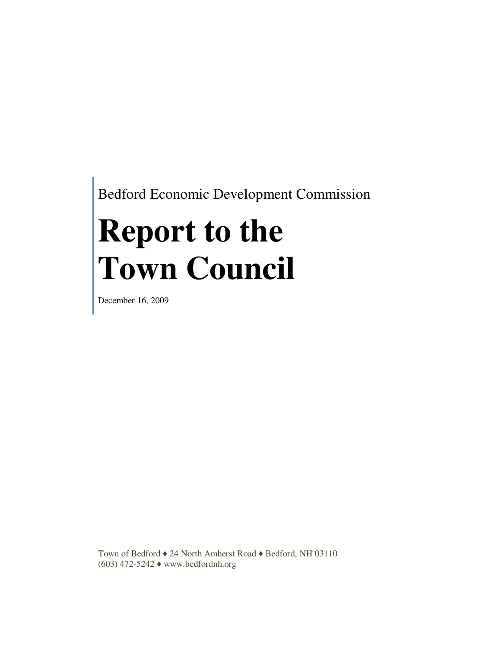Bedford Economic Development Commission

# **Report to the Town Council**

December 16, 2009

Town of Bedford ♦ 24 North Amherst Road ♦ Bedford, NH 03110 (603) 472-5242 ♦ www.bedfordnh.org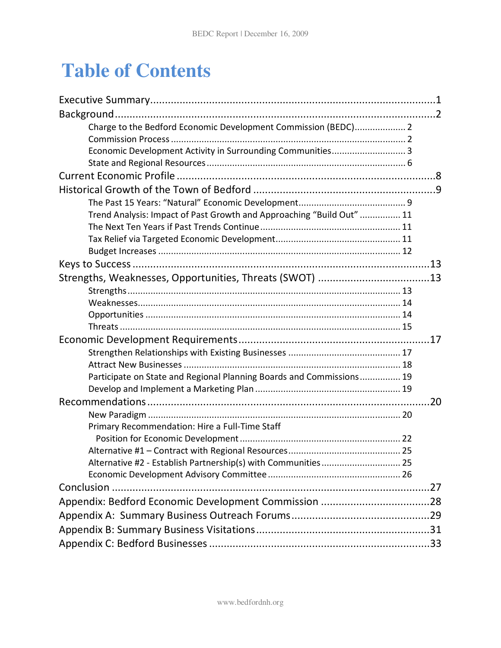# **Table of Contents**

| Charge to the Bedford Economic Development Commission (BEDC) 2        |     |  |
|-----------------------------------------------------------------------|-----|--|
|                                                                       |     |  |
| Economic Development Activity in Surrounding Communities 3            |     |  |
|                                                                       |     |  |
|                                                                       |     |  |
|                                                                       |     |  |
|                                                                       |     |  |
| Trend Analysis: Impact of Past Growth and Approaching "Build Out"  11 |     |  |
|                                                                       |     |  |
|                                                                       |     |  |
|                                                                       |     |  |
|                                                                       |     |  |
| Strengths, Weaknesses, Opportunities, Threats (SWOT) 13               |     |  |
|                                                                       |     |  |
|                                                                       |     |  |
|                                                                       |     |  |
|                                                                       |     |  |
|                                                                       |     |  |
|                                                                       |     |  |
|                                                                       |     |  |
| Participate on State and Regional Planning Boards and Commissions 19  |     |  |
|                                                                       |     |  |
|                                                                       | .20 |  |
|                                                                       |     |  |
| Primary Recommendation: Hire a Full-Time Staff                        |     |  |
|                                                                       |     |  |
|                                                                       |     |  |
| Alternative #2 - Establish Partnership(s) with Communities 25         |     |  |
|                                                                       |     |  |
|                                                                       |     |  |
|                                                                       |     |  |
|                                                                       |     |  |
|                                                                       |     |  |
|                                                                       |     |  |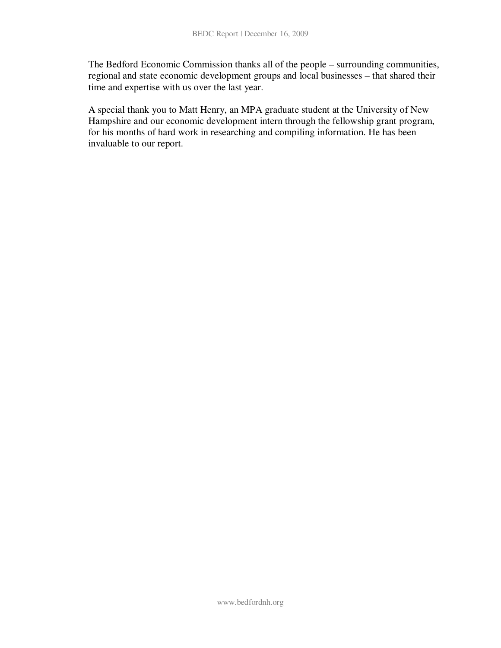The Bedford Economic Commission thanks all of the people – surrounding communities, regional and state economic development groups and local businesses – that shared their time and expertise with us over the last year.

A special thank you to Matt Henry, an MPA graduate student at the University of New Hampshire and our economic development intern through the fellowship grant program, for his months of hard work in researching and compiling information. He has been invaluable to our report.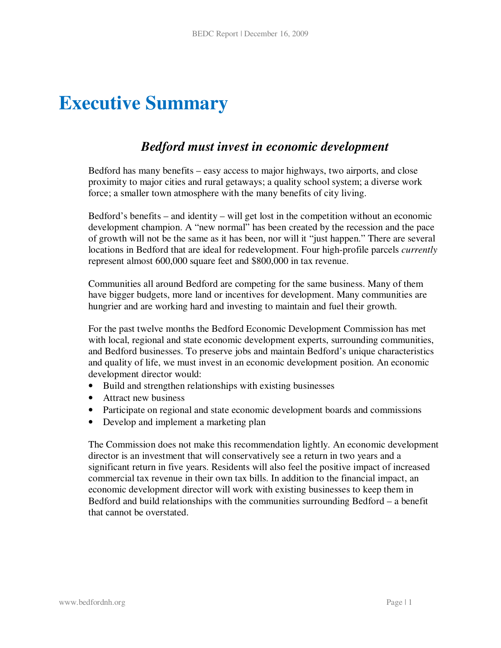# **Executive Summary**

### *Bedford must invest in economic development*

Bedford has many benefits – easy access to major highways, two airports, and close proximity to major cities and rural getaways; a quality school system; a diverse work force; a smaller town atmosphere with the many benefits of city living.

Bedford's benefits – and identity – will get lost in the competition without an economic development champion. A "new normal" has been created by the recession and the pace of growth will not be the same as it has been, nor will it "just happen." There are several locations in Bedford that are ideal for redevelopment. Four high-profile parcels *currently* represent almost 600,000 square feet and \$800,000 in tax revenue.

Communities all around Bedford are competing for the same business. Many of them have bigger budgets, more land or incentives for development. Many communities are hungrier and are working hard and investing to maintain and fuel their growth.

For the past twelve months the Bedford Economic Development Commission has met with local, regional and state economic development experts, surrounding communities, and Bedford businesses. To preserve jobs and maintain Bedford's unique characteristics and quality of life, we must invest in an economic development position. An economic development director would:

- Build and strengthen relationships with existing businesses
- Attract new business
- Participate on regional and state economic development boards and commissions
- Develop and implement a marketing plan

The Commission does not make this recommendation lightly. An economic development director is an investment that will conservatively see a return in two years and a significant return in five years. Residents will also feel the positive impact of increased commercial tax revenue in their own tax bills. In addition to the financial impact, an economic development director will work with existing businesses to keep them in Bedford and build relationships with the communities surrounding Bedford – a benefit that cannot be overstated.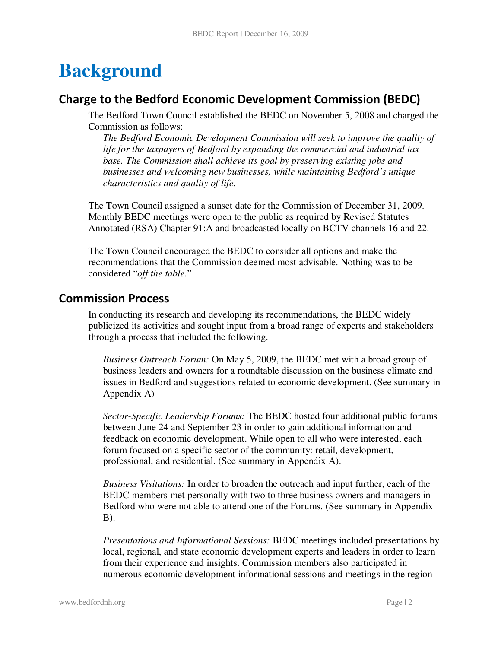# **Background**

### Charge to the Bedford Economic Development Commission (BEDC)

The Bedford Town Council established the BEDC on November 5, 2008 and charged the Commission as follows:

*The Bedford Economic Development Commission will seek to improve the quality of life for the taxpayers of Bedford by expanding the commercial and industrial tax base. The Commission shall achieve its goal by preserving existing jobs and businesses and welcoming new businesses, while maintaining Bedford's unique characteristics and quality of life.* 

The Town Council assigned a sunset date for the Commission of December 31, 2009. Monthly BEDC meetings were open to the public as required by Revised Statutes Annotated (RSA) Chapter 91:A and broadcasted locally on BCTV channels 16 and 22.

The Town Council encouraged the BEDC to consider all options and make the recommendations that the Commission deemed most advisable. Nothing was to be considered "*off the table.*"

### Commission Process

In conducting its research and developing its recommendations, the BEDC widely publicized its activities and sought input from a broad range of experts and stakeholders through a process that included the following.

*Business Outreach Forum:* On May 5, 2009, the BEDC met with a broad group of business leaders and owners for a roundtable discussion on the business climate and issues in Bedford and suggestions related to economic development. (See summary in Appendix A)

*Sector-Specific Leadership Forums:* The BEDC hosted four additional public forums between June 24 and September 23 in order to gain additional information and feedback on economic development. While open to all who were interested, each forum focused on a specific sector of the community: retail, development, professional, and residential. (See summary in Appendix A).

*Business Visitations:* In order to broaden the outreach and input further, each of the BEDC members met personally with two to three business owners and managers in Bedford who were not able to attend one of the Forums. (See summary in Appendix B).

*Presentations and Informational Sessions:* BEDC meetings included presentations by local, regional, and state economic development experts and leaders in order to learn from their experience and insights. Commission members also participated in numerous economic development informational sessions and meetings in the region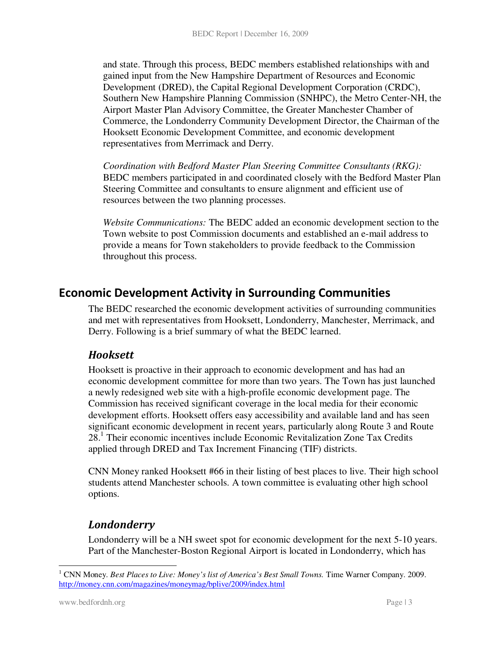and state. Through this process, BEDC members established relationships with and gained input from the New Hampshire Department of Resources and Economic Development (DRED), the Capital Regional Development Corporation (CRDC), Southern New Hampshire Planning Commission (SNHPC), the Metro Center-NH, the Airport Master Plan Advisory Committee, the Greater Manchester Chamber of Commerce, the Londonderry Community Development Director, the Chairman of the Hooksett Economic Development Committee, and economic development representatives from Merrimack and Derry.

*Coordination with Bedford Master Plan Steering Committee Consultants (RKG):* BEDC members participated in and coordinated closely with the Bedford Master Plan Steering Committee and consultants to ensure alignment and efficient use of resources between the two planning processes.

*Website Communications:* The BEDC added an economic development section to the Town website to post Commission documents and established an e-mail address to provide a means for Town stakeholders to provide feedback to the Commission throughout this process.

### Economic Development Activity in Surrounding Communities

The BEDC researched the economic development activities of surrounding communities and met with representatives from Hooksett, Londonderry, Manchester, Merrimack, and Derry. Following is a brief summary of what the BEDC learned.

#### Hooksett

Hooksett is proactive in their approach to economic development and has had an economic development committee for more than two years. The Town has just launched a newly redesigned web site with a high-profile economic development page. The Commission has received significant coverage in the local media for their economic development efforts. Hooksett offers easy accessibility and available land and has seen significant economic development in recent years, particularly along Route 3 and Route 28.<sup>1</sup> Their economic incentives include Economic Revitalization Zone Tax Credits applied through DRED and Tax Increment Financing (TIF) districts.

CNN Money ranked Hooksett #66 in their listing of best places to live. Their high school students attend Manchester schools. A town committee is evaluating other high school options.

#### Londonderry

Londonderry will be a NH sweet spot for economic development for the next 5-10 years. Part of the Manchester-Boston Regional Airport is located in Londonderry, which has

-

<sup>&</sup>lt;sup>1</sup> CNN Money. *Best Places to Live: Money's list of America's Best Small Towns*. Time Warner Company. 2009. http://money.cnn.com/magazines/moneymag/bplive/2009/index.html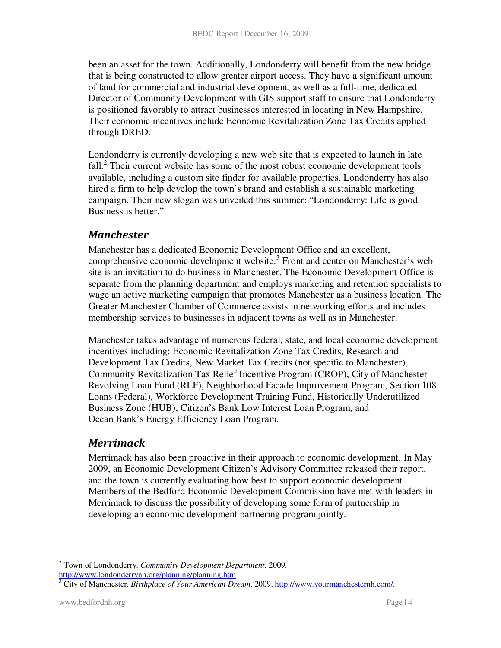been an asset for the town. Additionally, Londonderry will benefit from the new bridge that is being constructed to allow greater airport access. They have a significant amount of land for commercial and industrial development, as well as a full-time, dedicated Director of Community Development with GIS support staff to ensure that Londonderry is positioned favorably to attract businesses interested in locating in New Hampshire. Their economic incentives include Economic Revitalization Zone Tax Credits applied through DRED.

Londonderry is currently developing a new web site that is expected to launch in late fall.<sup>2</sup> Their current website has some of the most robust economic development tools available, including a custom site finder for available properties. Londonderry has also hired a firm to help develop the town's brand and establish a sustainable marketing campaign. Their new slogan was unveiled this summer: "Londonderry: Life is good. Business is better."

#### Manchester

Manchester has a dedicated Economic Development Office and an excellent, comprehensive economic development website.<sup>3</sup> Front and center on Manchester's web site is an invitation to do business in Manchester. The Economic Development Office is separate from the planning department and employs marketing and retention specialists to wage an active marketing campaign that promotes Manchester as a business location. The Greater Manchester Chamber of Commerce assists in networking efforts and includes membership services to businesses in adjacent towns as well as in Manchester.

Manchester takes advantage of numerous federal, state, and local economic development incentives including: Economic Revitalization Zone Tax Credits, Research and Development Tax Credits, New Market Tax Credits (not specific to Manchester), Community Revitalization Tax Relief Incentive Program (CROP), City of Manchester Revolving Loan Fund (RLF), Neighborhood Facade Improvement Program, Section 108 Loans (Federal), Workforce Development Training Fund, Historically Underutilized Business Zone (HUB), Citizen's Bank Low Interest Loan Program, and Ocean Bank's Energy Efficiency Loan Program.

#### Merrimack

Merrimack has also been proactive in their approach to economic development. In May 2009, an Economic Development Citizen's Advisory Committee released their report, and the town is currently evaluating how best to support economic development. Members of the Bedford Economic Development Commission have met with leaders in Merrimack to discuss the possibility of developing some form of partnership in developing an economic development partnering program jointly.

<sup>-</sup>2 Town of Londonderry. *Community Development Department*. 2009. http://www.londonderrynh.org/planning/planning.htm

<sup>&</sup>lt;sup>3</sup> City of Manchester. *Birthplace of Your American Dream.* 2009. http://www.yourmanchesternh.com/.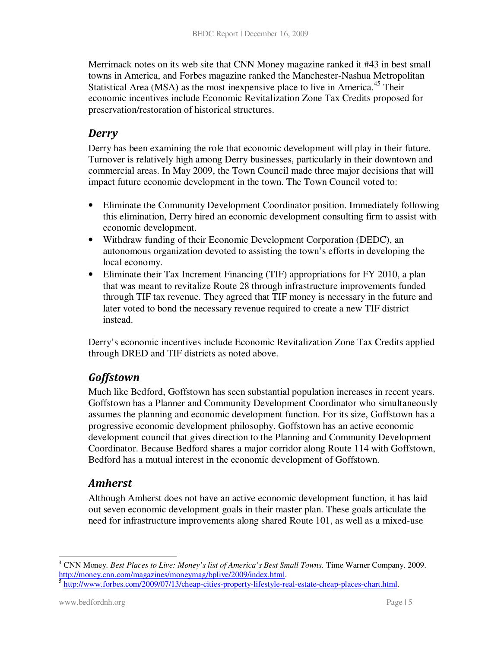Merrimack notes on its web site that CNN Money magazine ranked it #43 in best small towns in America, and Forbes magazine ranked the Manchester-Nashua Metropolitan Statistical Area (MSA) as the most inexpensive place to live in America.<sup>45</sup> Their economic incentives include Economic Revitalization Zone Tax Credits proposed for preservation/restoration of historical structures.

#### Derry

Derry has been examining the role that economic development will play in their future. Turnover is relatively high among Derry businesses, particularly in their downtown and commercial areas. In May 2009, the Town Council made three major decisions that will impact future economic development in the town. The Town Council voted to:

- Eliminate the Community Development Coordinator position. Immediately following this elimination, Derry hired an economic development consulting firm to assist with economic development.
- Withdraw funding of their Economic Development Corporation (DEDC), an autonomous organization devoted to assisting the town's efforts in developing the local economy.
- Eliminate their Tax Increment Financing (TIF) appropriations for FY 2010, a plan that was meant to revitalize Route 28 through infrastructure improvements funded through TIF tax revenue. They agreed that TIF money is necessary in the future and later voted to bond the necessary revenue required to create a new TIF district instead.

Derry's economic incentives include Economic Revitalization Zone Tax Credits applied through DRED and TIF districts as noted above.

### **Goffstown**

Much like Bedford, Goffstown has seen substantial population increases in recent years. Goffstown has a Planner and Community Development Coordinator who simultaneously assumes the planning and economic development function. For its size, Goffstown has a progressive economic development philosophy. Goffstown has an active economic development council that gives direction to the Planning and Community Development Coordinator. Because Bedford shares a major corridor along Route 114 with Goffstown, Bedford has a mutual interest in the economic development of Goffstown.

### Amherst

Although Amherst does not have an active economic development function, it has laid out seven economic development goals in their master plan. These goals articulate the need for infrastructure improvements along shared Route 101, as well as a mixed-use

<sup>-</sup>4 CNN Money. *Best Places to Live: Money's list of America's Best Small Towns.* Time Warner Company. 2009. http://money.cnn.com/magazines/moneymag/bplive/2009/index.html.

<sup>&</sup>lt;sup>5</sup> http://www.forbes.com/2009/07/13/cheap-cities-property-lifestyle-real-estate-cheap-places-chart.html.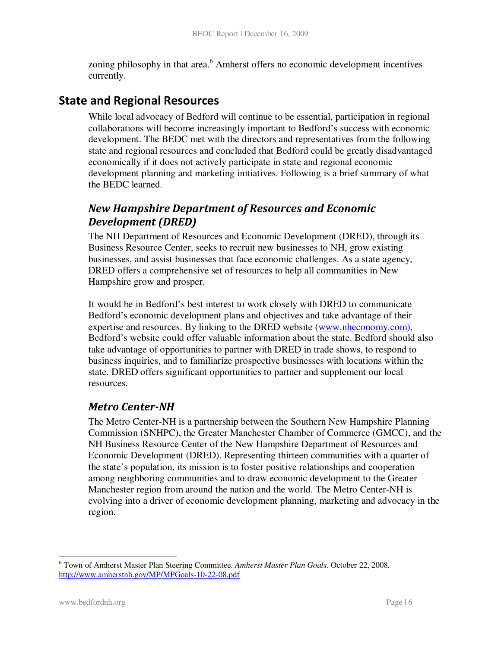zoning philosophy in that area.<sup>6</sup> Amherst offers no economic development incentives currently.

### State and Regional Resources

While local advocacy of Bedford will continue to be essential, participation in regional collaborations will become increasingly important to Bedford's success with economic development. The BEDC met with the directors and representatives from the following state and regional resources and concluded that Bedford could be greatly disadvantaged economically if it does not actively participate in state and regional economic development planning and marketing initiatives. Following is a brief summary of what the BEDC learned.

#### New Hampshire Department of Resources and Economic Development (DRED)

The NH Department of Resources and Economic Development (DRED), through its Business Resource Center, seeks to recruit new businesses to NH, grow existing businesses, and assist businesses that face economic challenges. As a state agency, DRED offers a comprehensive set of resources to help all communities in New Hampshire grow and prosper.

It would be in Bedford's best interest to work closely with DRED to communicate Bedford's economic development plans and objectives and take advantage of their expertise and resources. By linking to the DRED website (www.nheconomy.com), Bedford's website could offer valuable information about the state. Bedford should also take advantage of opportunities to partner with DRED in trade shows, to respond to business inquiries, and to familiarize prospective businesses with locations within the state. DRED offers significant opportunities to partner and supplement our local resources.

#### Metro Center-NH

The Metro Center-NH is a partnership between the Southern New Hampshire Planning Commission (SNHPC), the Greater Manchester Chamber of Commerce (GMCC), and the NH Business Resource Center of the New Hampshire Department of Resources and Economic Development (DRED). Representing thirteen communities with a quarter of the state's population, its mission is to foster positive relationships and cooperation among neighboring communities and to draw economic development to the Greater Manchester region from around the nation and the world. The Metro Center-NH is evolving into a driver of economic development planning, marketing and advocacy in the region.

<sup>-</sup>6 Town of Amherst Master Plan Steering Committee. *Amherst Master Plan Goals*. October 22, 2008. http://www.amherstnh.gov/MP/MPGoals-10-22-08.pdf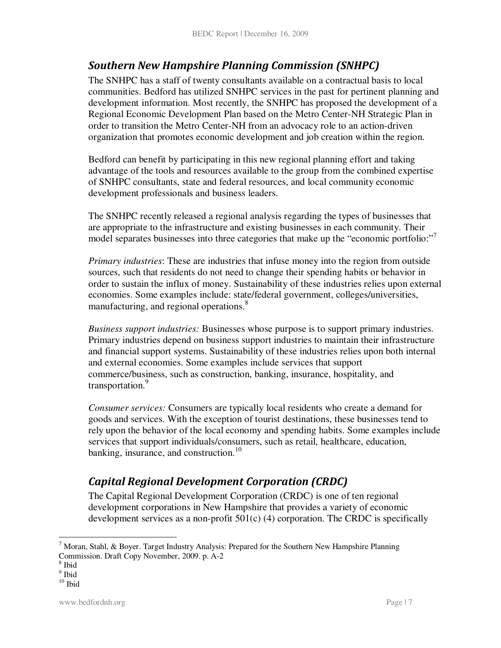### Southern New Hampshire Planning Commission (SNHPC)

The SNHPC has a staff of twenty consultants available on a contractual basis to local communities. Bedford has utilized SNHPC services in the past for pertinent planning and development information. Most recently, the SNHPC has proposed the development of a Regional Economic Development Plan based on the Metro Center-NH Strategic Plan in order to transition the Metro Center-NH from an advocacy role to an action-driven organization that promotes economic development and job creation within the region.

Bedford can benefit by participating in this new regional planning effort and taking advantage of the tools and resources available to the group from the combined expertise of SNHPC consultants, state and federal resources, and local community economic development professionals and business leaders.

The SNHPC recently released a regional analysis regarding the types of businesses that are appropriate to the infrastructure and existing businesses in each community. Their model separates businesses into three categories that make up the "economic portfolio:"

*Primary industries*: These are industries that infuse money into the region from outside sources, such that residents do not need to change their spending habits or behavior in order to sustain the influx of money. Sustainability of these industries relies upon external economies. Some examples include: state/federal government, colleges/universities, manufacturing, and regional operations.<sup>8</sup>

*Business support industries:* Businesses whose purpose is to support primary industries. Primary industries depend on business support industries to maintain their infrastructure and financial support systems. Sustainability of these industries relies upon both internal and external economies. Some examples include services that support commerce/business, such as construction, banking, insurance, hospitality, and transportation.<sup>9</sup>

*Consumer services:* Consumers are typically local residents who create a demand for goods and services. With the exception of tourist destinations, these businesses tend to rely upon the behavior of the local economy and spending habits. Some examples include services that support individuals/consumers, such as retail, healthcare, education, banking, insurance, and construction.<sup>10</sup>

# Capital Regional Development Corporation (CRDC)

The Capital Regional Development Corporation (CRDC) is one of ten regional development corporations in New Hampshire that provides a variety of economic development services as a non-profit  $501(c)$  (4) corporation. The CRDC is specifically

-

<sup>&</sup>lt;sup>7</sup> Moran, Stahl, & Boyer. Target Industry Analysis: Prepared for the Southern New Hampshire Planning Commission. Draft Copy November, 2009. p. A-2

<sup>8</sup> Ibid

<sup>&</sup>lt;sup>9</sup> Ibid

 $10$  Ibid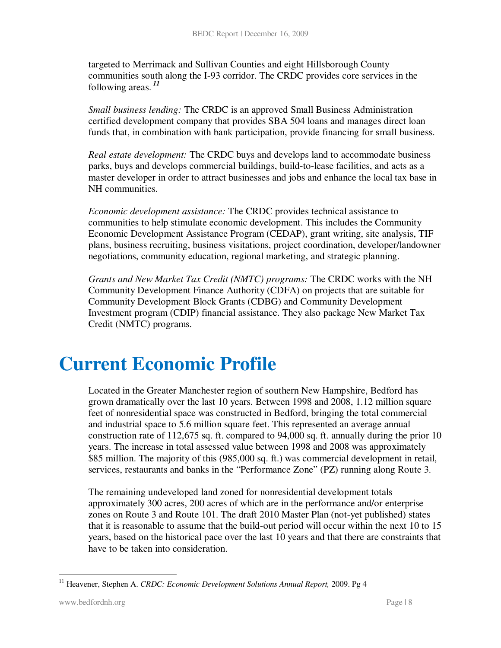targeted to Merrimack and Sullivan Counties and eight Hillsborough County communities south along the I-93 corridor. The CRDC provides core services in the following areas.*<sup>11</sup>*

*Small business lending:* The CRDC is an approved Small Business Administration certified development company that provides SBA 504 loans and manages direct loan funds that, in combination with bank participation, provide financing for small business.

*Real estate development:* The CRDC buys and develops land to accommodate business parks, buys and develops commercial buildings, build-to-lease facilities, and acts as a master developer in order to attract businesses and jobs and enhance the local tax base in NH communities.

*Economic development assistance:* The CRDC provides technical assistance to communities to help stimulate economic development. This includes the Community Economic Development Assistance Program (CEDAP), grant writing, site analysis, TIF plans, business recruiting, business visitations, project coordination, developer/landowner negotiations, community education, regional marketing, and strategic planning.

*Grants and New Market Tax Credit (NMTC) programs:* The CRDC works with the NH Community Development Finance Authority (CDFA) on projects that are suitable for Community Development Block Grants (CDBG) and Community Development Investment program (CDIP) financial assistance. They also package New Market Tax Credit (NMTC) programs.

# **Current Economic Profile**

Located in the Greater Manchester region of southern New Hampshire, Bedford has grown dramatically over the last 10 years. Between 1998 and 2008, 1.12 million square feet of nonresidential space was constructed in Bedford, bringing the total commercial and industrial space to 5.6 million square feet. This represented an average annual construction rate of 112,675 sq. ft. compared to 94,000 sq. ft. annually during the prior 10 years. The increase in total assessed value between 1998 and 2008 was approximately \$85 million. The majority of this (985,000 sq. ft.) was commercial development in retail, services, restaurants and banks in the "Performance Zone" (PZ) running along Route 3.

The remaining undeveloped land zoned for nonresidential development totals approximately 300 acres, 200 acres of which are in the performance and/or enterprise zones on Route 3 and Route 101. The draft 2010 Master Plan (not-yet published) states that it is reasonable to assume that the build-out period will occur within the next 10 to 15 years, based on the historical pace over the last 10 years and that there are constraints that have to be taken into consideration.

<sup>&</sup>lt;u>.</u> <sup>11</sup> Heavener, Stephen A. *CRDC: Economic Development Solutions Annual Report*, 2009. Pg 4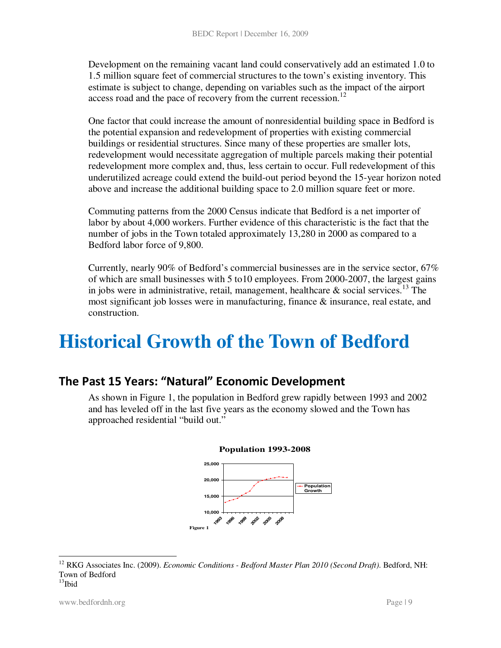Development on the remaining vacant land could conservatively add an estimated 1.0 to 1.5 million square feet of commercial structures to the town's existing inventory. This estimate is subject to change, depending on variables such as the impact of the airport access road and the pace of recovery from the current recession.<sup>12</sup>

One factor that could increase the amount of nonresidential building space in Bedford is the potential expansion and redevelopment of properties with existing commercial buildings or residential structures. Since many of these properties are smaller lots, redevelopment would necessitate aggregation of multiple parcels making their potential redevelopment more complex and, thus, less certain to occur. Full redevelopment of this underutilized acreage could extend the build-out period beyond the 15-year horizon noted above and increase the additional building space to 2.0 million square feet or more.

Commuting patterns from the 2000 Census indicate that Bedford is a net importer of labor by about 4,000 workers. Further evidence of this characteristic is the fact that the number of jobs in the Town totaled approximately 13,280 in 2000 as compared to a Bedford labor force of 9,800.

Currently, nearly 90% of Bedford's commercial businesses are in the service sector, 67% of which are small businesses with 5 to10 employees. From 2000-2007, the largest gains in jobs were in administrative, retail, management, healthcare  $\&$  social services.<sup>13</sup> The most significant job losses were in manufacturing, finance & insurance, real estate, and construction.

# **Historical Growth of the Town of Bedford**

# The Past 15 Years: "Natural" Economic Development

As shown in Figure 1, the population in Bedford grew rapidly between 1993 and 2002 and has leveled off in the last five years as the economy slowed and the Town has approached residential "build out."





-

<sup>&</sup>lt;sup>12</sup> RKG Associates Inc. (2009). *Economic Conditions - Bedford Master Plan 2010 (Second Draft)*. Bedford, NH: Town of Bedford  $13$ Ibid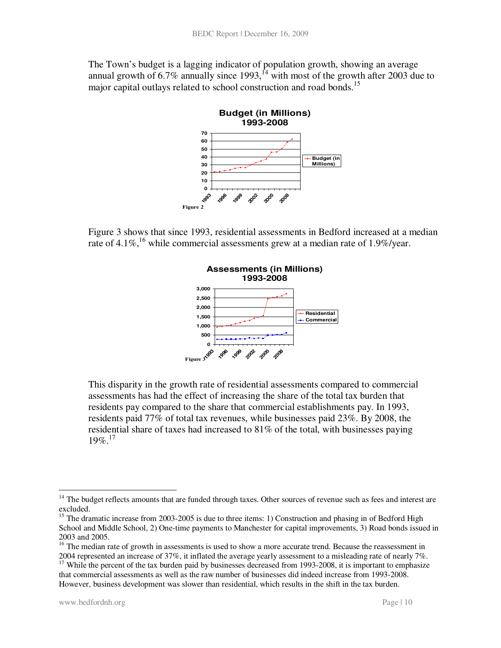The Town's budget is a lagging indicator of population growth, showing an average annual growth of 6.7% annually since 1993,  $\frac{1}{4}$  with most of the growth after 2003 due to major capital outlays related to school construction and road bonds.<sup>15</sup>



Figure 3 shows that since 1993, residential assessments in Bedford increased at a median rate of 4.1%,<sup>16</sup> while commercial assessments grew at a median rate of 1.9%/year.



This disparity in the growth rate of residential assessments compared to commercial assessments has had the effect of increasing the share of the total tax burden that residents pay compared to the share that commercial establishments pay. In 1993, residents paid 77% of total tax revenues, while businesses paid 23%. By 2008, the residential share of taxes had increased to 81% of the total, with businesses paying  $19\%$ <sup>17</sup>

-

<sup>&</sup>lt;sup>14</sup> The budget reflects amounts that are funded through taxes. Other sources of revenue such as fees and interest are excluded.

<sup>&</sup>lt;sup>15</sup> The dramatic increase from 2003-2005 is due to three items: 1) Construction and phasing in of Bedford High School and Middle School, 2) One-time payments to Manchester for capital improvements, 3) Road bonds issued in 2003 and 2005.

<sup>&</sup>lt;sup>16</sup> The median rate of growth in assessments is used to show a more accurate trend. Because the reassessment in 2004 represented an increase of 37%, it inflated the average yearly assessment to a misleading rate of nearly 7%.

 $17$  While the percent of the tax burden paid by businesses decreased from 1993-2008, it is important to emphasize that commercial assessments as well as the raw number of businesses did indeed increase from 1993-2008. However, business development was slower than residential, which results in the shift in the tax burden.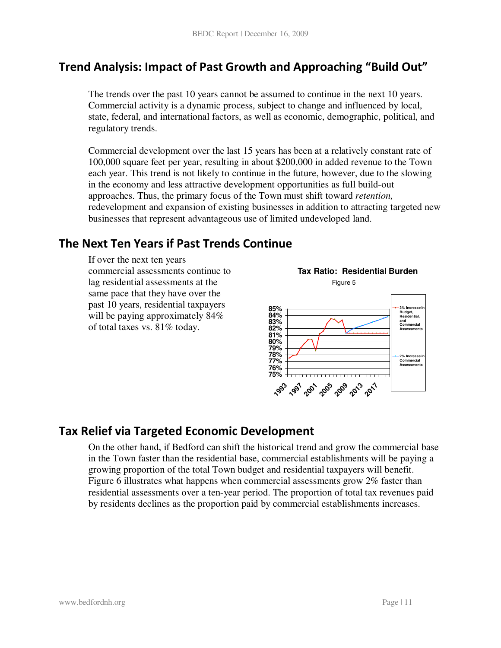# Trend Analysis: Impact of Past Growth and Approaching "Build Out"

The trends over the past 10 years cannot be assumed to continue in the next 10 years. Commercial activity is a dynamic process, subject to change and influenced by local, state, federal, and international factors, as well as economic, demographic, political, and regulatory trends.

Commercial development over the last 15 years has been at a relatively constant rate of 100,000 square feet per year, resulting in about \$200,000 in added revenue to the Town each year. This trend is not likely to continue in the future, however, due to the slowing in the economy and less attractive development opportunities as full build-out approaches. Thus, the primary focus of the Town must shift toward *retention,* redevelopment and expansion of existing businesses in addition to attracting targeted new businesses that represent advantageous use of limited undeveloped land.

# The Next Ten Years if Past Trends Continue

If over the next ten years commercial assessments continue to lag residential assessments at the same pace that they have over the past 10 years, residential taxpayers will be paying approximately  $84\%$ of total taxes vs. 81% today.



# Tax Relief via Targeted Economic Development

On the other hand, if Bedford can shift the historical trend and grow the commercial base in the Town faster than the residential base, commercial establishments will be paying a growing proportion of the total Town budget and residential taxpayers will benefit. Figure 6 illustrates what happens when commercial assessments grow 2% faster than residential assessments over a ten-year period. The proportion of total tax revenues paid by residents declines as the proportion paid by commercial establishments increases.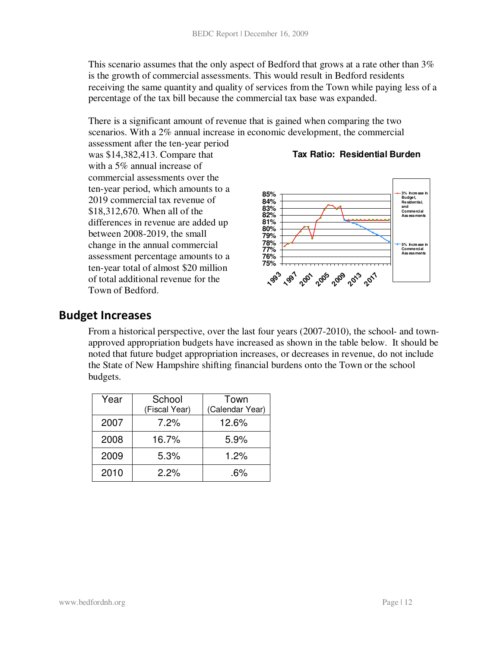This scenario assumes that the only aspect of Bedford that grows at a rate other than 3% is the growth of commercial assessments. This would result in Bedford residents receiving the same quantity and quality of services from the Town while paying less of a percentage of the tax bill because the commercial tax base was expanded.

There is a significant amount of revenue that is gained when comparing the two scenarios. With a 2% annual increase in economic development, the commercial

assessment after the ten-year period was \$14,382,413. Compare that with a 5% annual increase of commercial assessments over the ten-year period, which amounts to a 2019 commercial tax revenue of \$18,312,670. When all of the differences in revenue are added up between 2008-2019, the small change in the annual commercial assessment percentage amounts to a ten-year total of almost \$20 million of total additional revenue for the Town of Bedford.

#### **Tax Ratio: Residential Burden**



#### Budget Increases

From a historical perspective, over the last four years (2007-2010), the school- and townapproved appropriation budgets have increased as shown in the table below. It should be noted that future budget appropriation increases, or decreases in revenue, do not include the State of New Hampshire shifting financial burdens onto the Town or the school budgets.

| Year | School        | Town            |  |  |
|------|---------------|-----------------|--|--|
|      | (Fiscal Year) | (Calendar Year) |  |  |
| 2007 | $7.2\%$       | 12.6%           |  |  |
| 2008 | 16.7%         | 5.9%            |  |  |
| 2009 | 5.3%          | 1.2%            |  |  |
| 2010 | $2.2\%$       | $.6\%$          |  |  |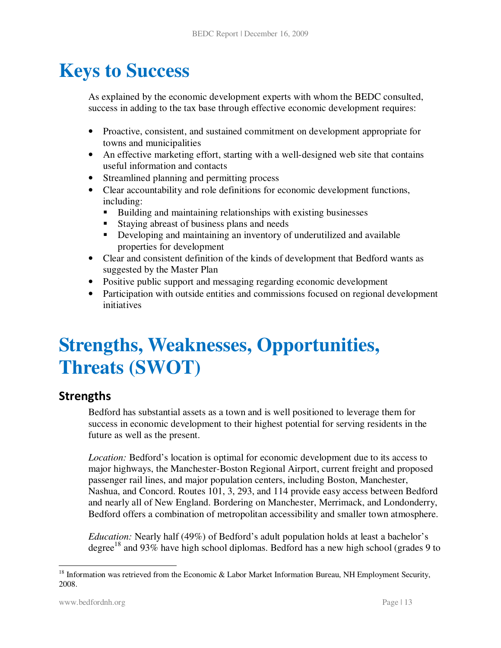# **Keys to Success**

As explained by the economic development experts with whom the BEDC consulted, success in adding to the tax base through effective economic development requires:

- Proactive, consistent, and sustained commitment on development appropriate for towns and municipalities
- An effective marketing effort, starting with a well-designed web site that contains useful information and contacts
- Streamlined planning and permitting process
- Clear accountability and role definitions for economic development functions, including:
	- Building and maintaining relationships with existing businesses
	- Staying abreast of business plans and needs
	- Developing and maintaining an inventory of underutilized and available properties for development
- Clear and consistent definition of the kinds of development that Bedford wants as suggested by the Master Plan
- Positive public support and messaging regarding economic development
- Participation with outside entities and commissions focused on regional development initiatives

# **Strengths, Weaknesses, Opportunities, Threats (SWOT)**

### **Strengths**

Bedford has substantial assets as a town and is well positioned to leverage them for success in economic development to their highest potential for serving residents in the future as well as the present.

*Location:* Bedford's location is optimal for economic development due to its access to major highways, the Manchester-Boston Regional Airport, current freight and proposed passenger rail lines, and major population centers, including Boston, Manchester, Nashua, and Concord. Routes 101, 3, 293, and 114 provide easy access between Bedford and nearly all of New England. Bordering on Manchester, Merrimack, and Londonderry, Bedford offers a combination of metropolitan accessibility and smaller town atmosphere.

*Education:* Nearly half (49%) of Bedford's adult population holds at least a bachelor's degree<sup>18</sup> and 93% have high school diplomas. Bedford has a new high school (grades 9 to

<sup>-</sup> $18$  Information was retrieved from the Economic & Labor Market Information Bureau, NH Employment Security, 2008.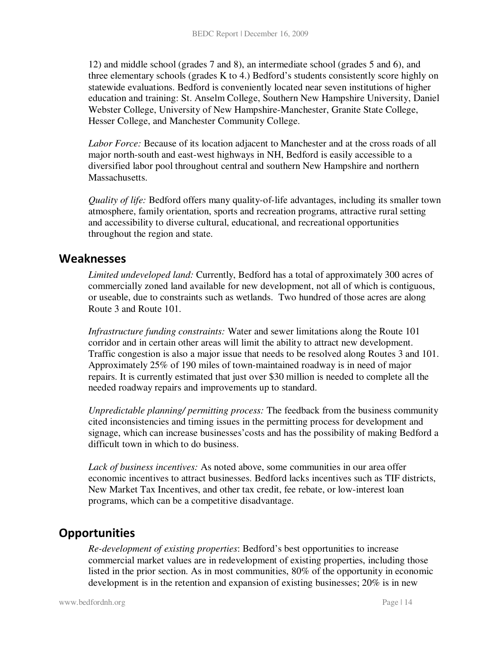12) and middle school (grades 7 and 8), an intermediate school (grades 5 and 6), and three elementary schools (grades K to 4.) Bedford's students consistently score highly on statewide evaluations. Bedford is conveniently located near seven institutions of higher education and training: St. Anselm College, Southern New Hampshire University, Daniel Webster College, University of New Hampshire-Manchester, Granite State College, Hesser College, and Manchester Community College.

*Labor Force:* Because of its location adjacent to Manchester and at the cross roads of all major north-south and east-west highways in NH, Bedford is easily accessible to a diversified labor pool throughout central and southern New Hampshire and northern Massachusetts.

*Quality of life:* Bedford offers many quality-of-life advantages, including its smaller town atmosphere, family orientation, sports and recreation programs, attractive rural setting and accessibility to diverse cultural, educational, and recreational opportunities throughout the region and state.

#### Weaknesses

*Limited undeveloped land:* Currently, Bedford has a total of approximately 300 acres of commercially zoned land available for new development, not all of which is contiguous, or useable, due to constraints such as wetlands. Two hundred of those acres are along Route 3 and Route 101.

*Infrastructure funding constraints:* Water and sewer limitations along the Route 101 corridor and in certain other areas will limit the ability to attract new development. Traffic congestion is also a major issue that needs to be resolved along Routes 3 and 101. Approximately 25% of 190 miles of town-maintained roadway is in need of major repairs. It is currently estimated that just over \$30 million is needed to complete all the needed roadway repairs and improvements up to standard.

*Unpredictable planning/ permitting process:* The feedback from the business community cited inconsistencies and timing issues in the permitting process for development and signage, which can increase businesses'costs and has the possibility of making Bedford a difficult town in which to do business.

*Lack of business incentives:* As noted above, some communities in our area offer economic incentives to attract businesses. Bedford lacks incentives such as TIF districts, New Market Tax Incentives, and other tax credit, fee rebate, or low-interest loan programs, which can be a competitive disadvantage.

### **Opportunities**

*Re-development of existing properties*: Bedford's best opportunities to increase commercial market values are in redevelopment of existing properties, including those listed in the prior section. As in most communities, 80% of the opportunity in economic development is in the retention and expansion of existing businesses; 20% is in new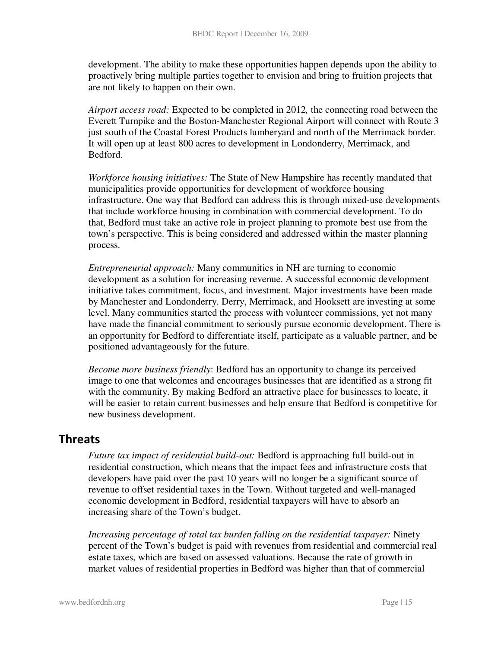development. The ability to make these opportunities happen depends upon the ability to proactively bring multiple parties together to envision and bring to fruition projects that are not likely to happen on their own.

*Airport access road:* Expected to be completed in 2012*,* the connecting road between the Everett Turnpike and the Boston-Manchester Regional Airport will connect with Route 3 just south of the Coastal Forest Products lumberyard and north of the Merrimack border. It will open up at least 800 acres to development in Londonderry, Merrimack, and Bedford.

*Workforce housing initiatives:* The State of New Hampshire has recently mandated that municipalities provide opportunities for development of workforce housing infrastructure. One way that Bedford can address this is through mixed-use developments that include workforce housing in combination with commercial development. To do that, Bedford must take an active role in project planning to promote best use from the town's perspective. This is being considered and addressed within the master planning process.

*Entrepreneurial approach:* Many communities in NH are turning to economic development as a solution for increasing revenue. A successful economic development initiative takes commitment, focus, and investment. Major investments have been made by Manchester and Londonderry. Derry, Merrimack, and Hooksett are investing at some level. Many communities started the process with volunteer commissions, yet not many have made the financial commitment to seriously pursue economic development. There is an opportunity for Bedford to differentiate itself, participate as a valuable partner, and be positioned advantageously for the future.

*Become more business friendly*: Bedford has an opportunity to change its perceived image to one that welcomes and encourages businesses that are identified as a strong fit with the community. By making Bedford an attractive place for businesses to locate, it will be easier to retain current businesses and help ensure that Bedford is competitive for new business development.

### Threats

*Future tax impact of residential build-out:* Bedford is approaching full build-out in residential construction, which means that the impact fees and infrastructure costs that developers have paid over the past 10 years will no longer be a significant source of revenue to offset residential taxes in the Town. Without targeted and well-managed economic development in Bedford, residential taxpayers will have to absorb an increasing share of the Town's budget.

*Increasing percentage of total tax burden falling on the residential taxpayer:* Ninety percent of the Town's budget is paid with revenues from residential and commercial real estate taxes, which are based on assessed valuations. Because the rate of growth in market values of residential properties in Bedford was higher than that of commercial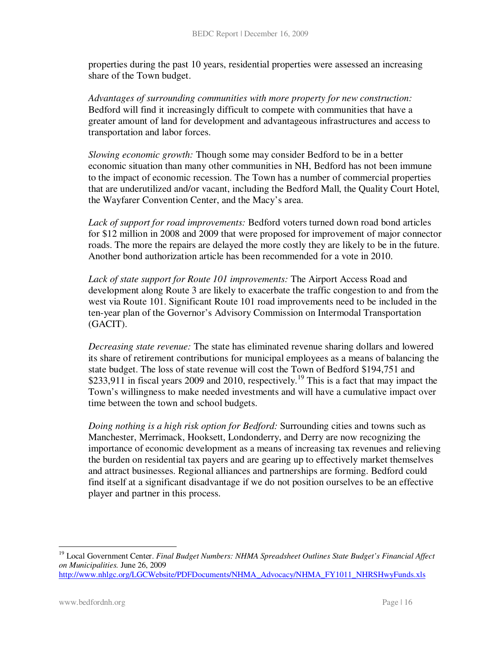properties during the past 10 years, residential properties were assessed an increasing share of the Town budget.

*Advantages of surrounding communities with more property for new construction:*  Bedford will find it increasingly difficult to compete with communities that have a greater amount of land for development and advantageous infrastructures and access to transportation and labor forces.

*Slowing economic growth:* Though some may consider Bedford to be in a better economic situation than many other communities in NH, Bedford has not been immune to the impact of economic recession. The Town has a number of commercial properties that are underutilized and/or vacant, including the Bedford Mall, the Quality Court Hotel, the Wayfarer Convention Center, and the Macy's area.

*Lack of support for road improvements:* Bedford voters turned down road bond articles for \$12 million in 2008 and 2009 that were proposed for improvement of major connector roads. The more the repairs are delayed the more costly they are likely to be in the future. Another bond authorization article has been recommended for a vote in 2010.

*Lack of state support for Route 101 improvements:* The Airport Access Road and development along Route 3 are likely to exacerbate the traffic congestion to and from the west via Route 101. Significant Route 101 road improvements need to be included in the ten-year plan of the Governor's Advisory Commission on Intermodal Transportation (GACIT).

*Decreasing state revenue:* The state has eliminated revenue sharing dollars and lowered its share of retirement contributions for municipal employees as a means of balancing the state budget. The loss of state revenue will cost the Town of Bedford \$194,751 and \$233,911 in fiscal years 2009 and 2010, respectively.<sup>19</sup> This is a fact that may impact the Town's willingness to make needed investments and will have a cumulative impact over time between the town and school budgets.

*Doing nothing is a high risk option for Bedford:* Surrounding cities and towns such as Manchester, Merrimack, Hooksett, Londonderry, and Derry are now recognizing the importance of economic development as a means of increasing tax revenues and relieving the burden on residential tax payers and are gearing up to effectively market themselves and attract businesses. Regional alliances and partnerships are forming. Bedford could find itself at a significant disadvantage if we do not position ourselves to be an effective player and partner in this process.

<u>.</u>

<sup>19</sup> Local Government Center. *Final Budget Numbers: NHMA Spreadsheet Outlines State Budget's Financial Affect on Municipalities.* June 26, 2009

http://www.nhlgc.org/LGCWebsite/PDFDocuments/NHMA\_Advocacy/NHMA\_FY1011\_NHRSHwyFunds.xls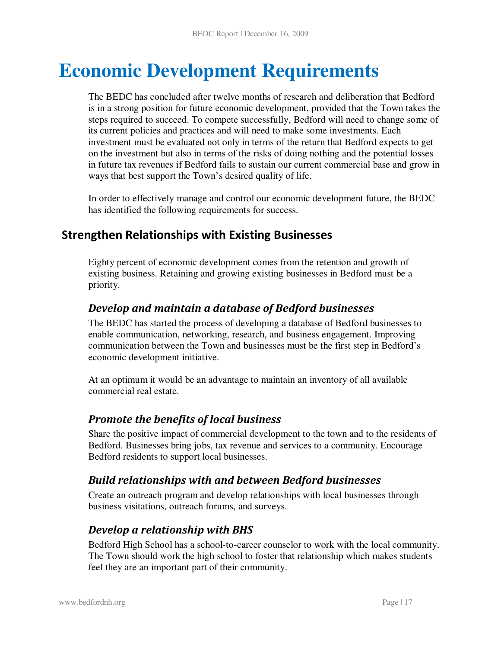# **Economic Development Requirements**

The BEDC has concluded after twelve months of research and deliberation that Bedford is in a strong position for future economic development, provided that the Town takes the steps required to succeed. To compete successfully, Bedford will need to change some of its current policies and practices and will need to make some investments. Each investment must be evaluated not only in terms of the return that Bedford expects to get on the investment but also in terms of the risks of doing nothing and the potential losses in future tax revenues if Bedford fails to sustain our current commercial base and grow in ways that best support the Town's desired quality of life.

In order to effectively manage and control our economic development future, the BEDC has identified the following requirements for success.

## Strengthen Relationships with Existing Businesses

Eighty percent of economic development comes from the retention and growth of existing business. Retaining and growing existing businesses in Bedford must be a priority.

#### Develop and maintain a database of Bedford businesses

The BEDC has started the process of developing a database of Bedford businesses to enable communication, networking, research, and business engagement. Improving communication between the Town and businesses must be the first step in Bedford's economic development initiative.

At an optimum it would be an advantage to maintain an inventory of all available commercial real estate.

### Promote the benefits of local business

Share the positive impact of commercial development to the town and to the residents of Bedford. Businesses bring jobs, tax revenue and services to a community. Encourage Bedford residents to support local businesses.

### Build relationships with and between Bedford businesses

Create an outreach program and develop relationships with local businesses through business visitations, outreach forums, and surveys.

### Develop a relationship with BHS

Bedford High School has a school-to-career counselor to work with the local community. The Town should work the high school to foster that relationship which makes students feel they are an important part of their community.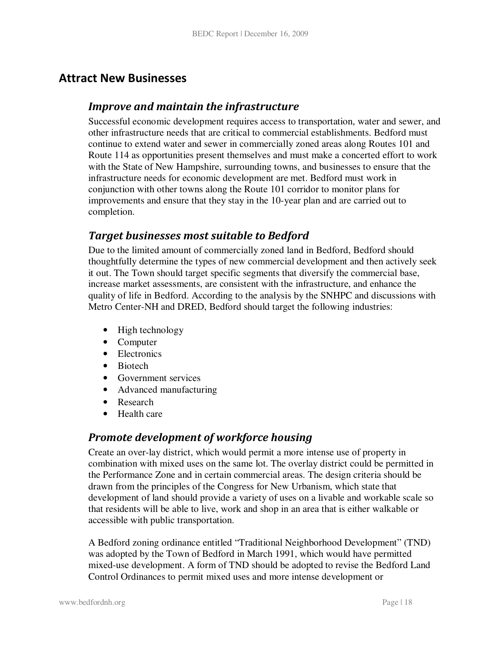### Attract New Businesses

#### Improve and maintain the infrastructure

Successful economic development requires access to transportation, water and sewer, and other infrastructure needs that are critical to commercial establishments. Bedford must continue to extend water and sewer in commercially zoned areas along Routes 101 and Route 114 as opportunities present themselves and must make a concerted effort to work with the State of New Hampshire, surrounding towns, and businesses to ensure that the infrastructure needs for economic development are met. Bedford must work in conjunction with other towns along the Route 101 corridor to monitor plans for improvements and ensure that they stay in the 10-year plan and are carried out to completion.

#### Target businesses most suitable to Bedford

Due to the limited amount of commercially zoned land in Bedford, Bedford should thoughtfully determine the types of new commercial development and then actively seek it out. The Town should target specific segments that diversify the commercial base, increase market assessments, are consistent with the infrastructure, and enhance the quality of life in Bedford. According to the analysis by the SNHPC and discussions with Metro Center-NH and DRED, Bedford should target the following industries:

- High technology
- Computer
- Electronics
- Biotech
- Government services
- Advanced manufacturing
- Research
- Health care

#### Promote development of workforce housing

Create an over-lay district, which would permit a more intense use of property in combination with mixed uses on the same lot. The overlay district could be permitted in the Performance Zone and in certain commercial areas. The design criteria should be drawn from the principles of the Congress for New Urbanism, which state that development of land should provide a variety of uses on a livable and workable scale so that residents will be able to live, work and shop in an area that is either walkable or accessible with public transportation.

A Bedford zoning ordinance entitled "Traditional Neighborhood Development" (TND) was adopted by the Town of Bedford in March 1991, which would have permitted mixed-use development. A form of TND should be adopted to revise the Bedford Land Control Ordinances to permit mixed uses and more intense development or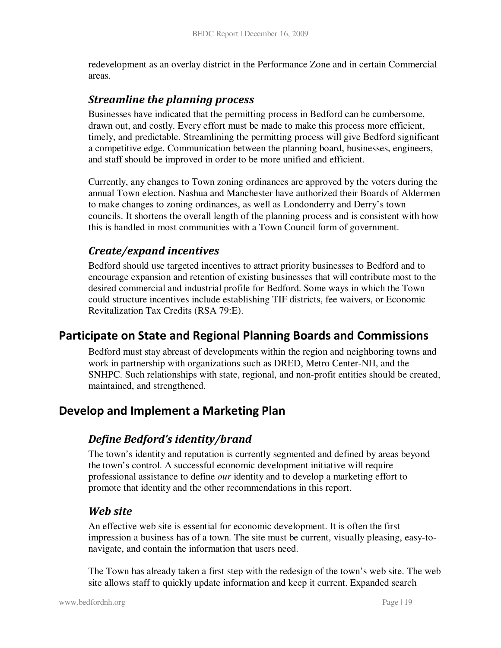redevelopment as an overlay district in the Performance Zone and in certain Commercial areas.

#### Streamline the planning process

Businesses have indicated that the permitting process in Bedford can be cumbersome, drawn out, and costly. Every effort must be made to make this process more efficient, timely, and predictable. Streamlining the permitting process will give Bedford significant a competitive edge. Communication between the planning board, businesses, engineers, and staff should be improved in order to be more unified and efficient.

Currently, any changes to Town zoning ordinances are approved by the voters during the annual Town election. Nashua and Manchester have authorized their Boards of Aldermen to make changes to zoning ordinances, as well as Londonderry and Derry's town councils. It shortens the overall length of the planning process and is consistent with how this is handled in most communities with a Town Council form of government.

### Create/expand incentives

Bedford should use targeted incentives to attract priority businesses to Bedford and to encourage expansion and retention of existing businesses that will contribute most to the desired commercial and industrial profile for Bedford. Some ways in which the Town could structure incentives include establishing TIF districts, fee waivers, or Economic Revitalization Tax Credits (RSA 79:E).

### Participate on State and Regional Planning Boards and Commissions

Bedford must stay abreast of developments within the region and neighboring towns and work in partnership with organizations such as DRED, Metro Center-NH, and the SNHPC. Such relationships with state, regional, and non-profit entities should be created, maintained, and strengthened.

### Develop and Implement a Marketing Plan

#### Define Bedford's identity/brand

The town's identity and reputation is currently segmented and defined by areas beyond the town's control. A successful economic development initiative will require professional assistance to define *our* identity and to develop a marketing effort to promote that identity and the other recommendations in this report.

#### Web site

An effective web site is essential for economic development. It is often the first impression a business has of a town. The site must be current, visually pleasing, easy-tonavigate, and contain the information that users need.

The Town has already taken a first step with the redesign of the town's web site. The web site allows staff to quickly update information and keep it current. Expanded search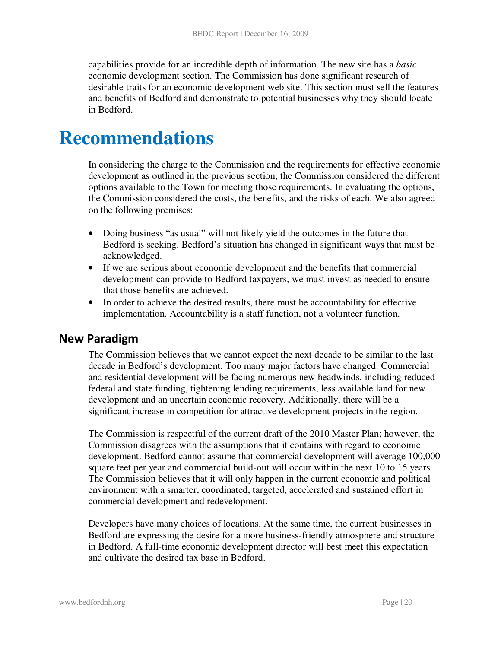capabilities provide for an incredible depth of information. The new site has a *basic* economic development section. The Commission has done significant research of desirable traits for an economic development web site. This section must sell the features and benefits of Bedford and demonstrate to potential businesses why they should locate in Bedford.

# **Recommendations**

In considering the charge to the Commission and the requirements for effective economic development as outlined in the previous section, the Commission considered the different options available to the Town for meeting those requirements. In evaluating the options, the Commission considered the costs, the benefits, and the risks of each. We also agreed on the following premises:

- Doing business "as usual" will not likely yield the outcomes in the future that Bedford is seeking. Bedford's situation has changed in significant ways that must be acknowledged.
- If we are serious about economic development and the benefits that commercial development can provide to Bedford taxpayers, we must invest as needed to ensure that those benefits are achieved.
- In order to achieve the desired results, there must be accountability for effective implementation. Accountability is a staff function, not a volunteer function.

#### New Paradigm

The Commission believes that we cannot expect the next decade to be similar to the last decade in Bedford's development. Too many major factors have changed. Commercial and residential development will be facing numerous new headwinds, including reduced federal and state funding, tightening lending requirements, less available land for new development and an uncertain economic recovery. Additionally, there will be a significant increase in competition for attractive development projects in the region.

The Commission is respectful of the current draft of the 2010 Master Plan; however, the Commission disagrees with the assumptions that it contains with regard to economic development. Bedford cannot assume that commercial development will average 100,000 square feet per year and commercial build-out will occur within the next 10 to 15 years. The Commission believes that it will only happen in the current economic and political environment with a smarter, coordinated, targeted, accelerated and sustained effort in commercial development and redevelopment.

Developers have many choices of locations. At the same time, the current businesses in Bedford are expressing the desire for a more business-friendly atmosphere and structure in Bedford. A full-time economic development director will best meet this expectation and cultivate the desired tax base in Bedford.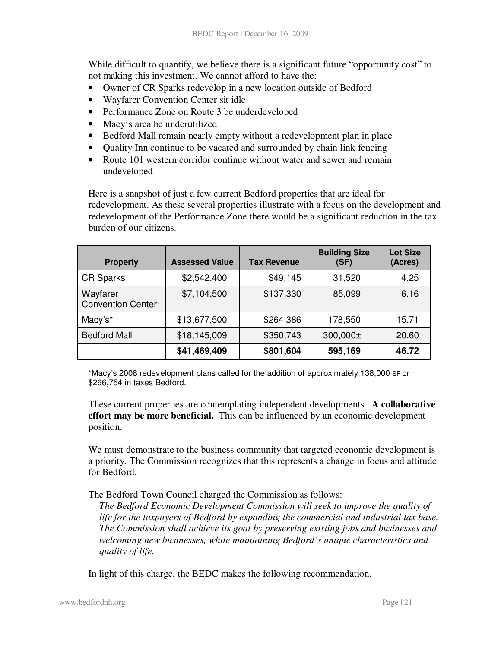While difficult to quantify, we believe there is a significant future "opportunity cost" to not making this investment. We cannot afford to have the:

- Owner of CR Sparks redevelop in a new location outside of Bedford
- Wayfarer Convention Center sit idle
- Performance Zone on Route 3 be underdeveloped
- Macy's area be underutilized
- Bedford Mall remain nearly empty without a redevelopment plan in place
- Quality Inn continue to be vacated and surrounded by chain link fencing
- Route 101 western corridor continue without water and sewer and remain undeveloped

Here is a snapshot of just a few current Bedford properties that are ideal for redevelopment. As these several properties illustrate with a focus on the development and redevelopment of the Performance Zone there would be a significant reduction in the tax burden of our citizens.

| <b>Property</b>                      | <b>Assessed Value</b> | <b>Tax Revenue</b> | <b>Building Size</b><br>(SF) | <b>Lot Size</b><br>(Acres) |
|--------------------------------------|-----------------------|--------------------|------------------------------|----------------------------|
| <b>CR Sparks</b>                     | \$2,542,400           | \$49,145           | 31,520                       | 4.25                       |
| Wayfarer<br><b>Convention Center</b> | \$7,104,500           | \$137,330          | 85,099                       | 6.16                       |
| Macy's*                              | \$13,677,500          | \$264,386          | 178,550                      | 15.71                      |
| <b>Bedford Mall</b>                  | \$18,145,009          | \$350,743          | 300,000±                     | 20.60                      |
|                                      | \$41,469,409          | \$801,604          | 595,169                      | 46.72                      |

\*Macy's 2008 redevelopment plans called for the addition of approximately 138,000 SF or \$266,754 in taxes Bedford.

These current properties are contemplating independent developments. **A collaborative effort may be more beneficial.** This can be influenced by an economic development position.

We must demonstrate to the business community that targeted economic development is a priority. The Commission recognizes that this represents a change in focus and attitude for Bedford.

The Bedford Town Council charged the Commission as follows:

*The Bedford Economic Development Commission will seek to improve the quality of life for the taxpayers of Bedford by expanding the commercial and industrial tax base. The Commission shall achieve its goal by preserving existing jobs and businesses and welcoming new businesses, while maintaining Bedford's unique characteristics and quality of life.* 

In light of this charge, the BEDC makes the following recommendation.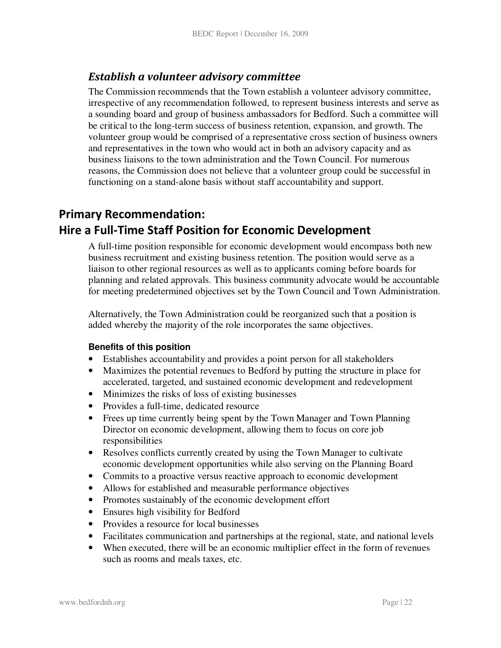#### Establish a volunteer advisory committee

The Commission recommends that the Town establish a volunteer advisory committee, irrespective of any recommendation followed, to represent business interests and serve as a sounding board and group of business ambassadors for Bedford. Such a committee will be critical to the long-term success of business retention, expansion, and growth. The volunteer group would be comprised of a representative cross section of business owners and representatives in the town who would act in both an advisory capacity and as business liaisons to the town administration and the Town Council. For numerous reasons, the Commission does not believe that a volunteer group could be successful in functioning on a stand-alone basis without staff accountability and support.

# Primary Recommendation: Hire a Full-Time Staff Position for Economic Development

A full-time position responsible for economic development would encompass both new business recruitment and existing business retention. The position would serve as a liaison to other regional resources as well as to applicants coming before boards for planning and related approvals. This business community advocate would be accountable for meeting predetermined objectives set by the Town Council and Town Administration.

Alternatively, the Town Administration could be reorganized such that a position is added whereby the majority of the role incorporates the same objectives.

#### **Benefits of this position**

- Establishes accountability and provides a point person for all stakeholders
- Maximizes the potential revenues to Bedford by putting the structure in place for accelerated, targeted, and sustained economic development and redevelopment
- Minimizes the risks of loss of existing businesses
- Provides a full-time, dedicated resource
- Frees up time currently being spent by the Town Manager and Town Planning Director on economic development, allowing them to focus on core job responsibilities
- Resolves conflicts currently created by using the Town Manager to cultivate economic development opportunities while also serving on the Planning Board
- Commits to a proactive versus reactive approach to economic development
- Allows for established and measurable performance objectives
- Promotes sustainably of the economic development effort
- Ensures high visibility for Bedford
- Provides a resource for local businesses
- Facilitates communication and partnerships at the regional, state, and national levels
- When executed, there will be an economic multiplier effect in the form of revenues such as rooms and meals taxes, etc.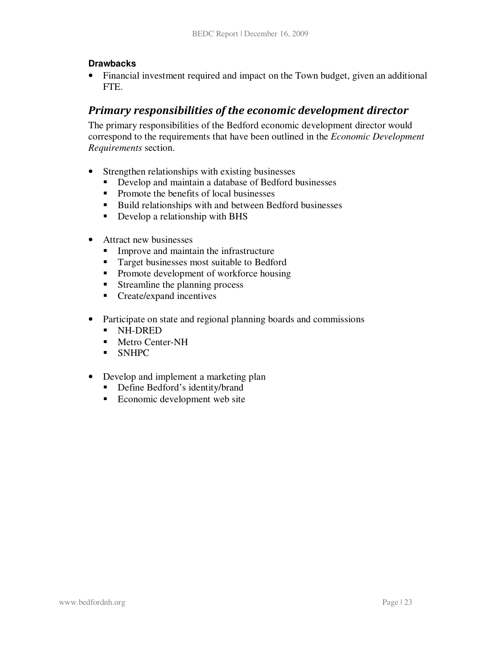#### **Drawbacks**

• Financial investment required and impact on the Town budget, given an additional FTE.

### Primary responsibilities of the economic development director

The primary responsibilities of the Bedford economic development director would correspond to the requirements that have been outlined in the *Economic Development Requirements* section.

- Strengthen relationships with existing businesses<br>• Develop and maintain a database of Bedford l
	- Develop and maintain a database of Bedford businesses
	- Promote the benefits of local businesses
	- Build relationships with and between Bedford businesses
	- Develop a relationship with BHS
- Attract new businesses
	- **Improve and maintain the infrastructure**
	- **Target businesses most suitable to Bedford**
	- Promote development of workforce housing
	- **Streamline the planning process**
	- **Create/expand incentives**
- Participate on state and regional planning boards and commissions
	- NH-DRED
	- **Metro Center-NH**
	- SNHPC
- Develop and implement a marketing plan
	- Define Bedford's identity/brand
	- Economic development web site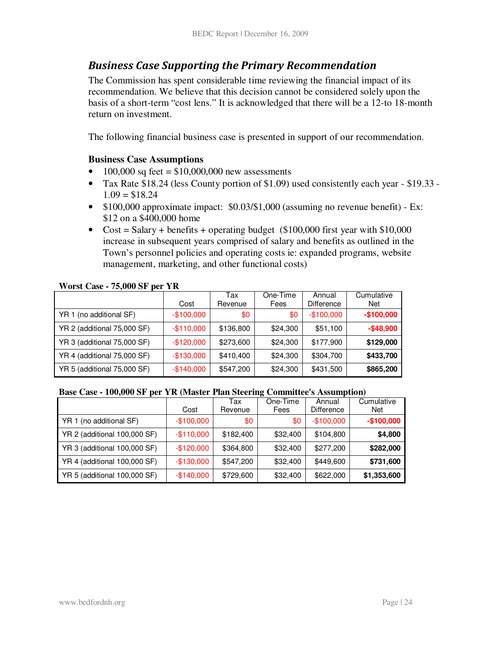#### Business Case Supporting the Primary Recommendation

The Commission has spent considerable time reviewing the financial impact of its recommendation. We believe that this decision cannot be considered solely upon the basis of a short-term "cost lens." It is acknowledged that there will be a 12-to 18-month return on investment.

The following financial business case is presented in support of our recommendation.

#### **Business Case Assumptions**

- 100,000 sq feet =  $$10,000,000$  new assessments
- Tax Rate \$18.24 (less County portion of \$1.09) used consistently each year \$19.33  $1.09 = $18.24$
- \$100,000 approximate impact: \$0.03/\$1,000 (assuming no revenue benefit) Ex: \$12 on a \$400,000 home
- $Cost = Salary + benefits + operating budget ($100,000 first year with $10,000$ increase in subsequent years comprised of salary and benefits as outlined in the Town's personnel policies and operating costs ie: expanded programs, website management, marketing, and other functional costs)

|                             | Cost        | Tax<br>Revenue | One-Time<br>Fees | Annual<br><b>Difference</b> | Cumulative<br><b>Net</b> |
|-----------------------------|-------------|----------------|------------------|-----------------------------|--------------------------|
| YR 1 (no additional SF)     | $-$100,000$ | \$0            | \$0              | $-$100,000$                 | $-$100,000$              |
| YR 2 (additional 75,000 SF) | $-$110,000$ | \$136,800      | \$24,300         | \$51,100                    | $-$ \$48,900             |
| YR 3 (additional 75,000 SF) | $-$120,000$ | \$273,600      | \$24,300         | \$177,900                   | \$129,000                |
| YR 4 (additional 75,000 SF) | $-$130,000$ | \$410,400      | \$24,300         | \$304,700                   | \$433,700                |
| YR 5 (additional 75,000 SF) | $-$140,000$ | \$547,200      | \$24,300         | \$431,500                   | \$865,200                |

#### **Worst Case - 75,000 SF per YR**

#### **Base Case - 100,000 SF per YR (Master Plan Steering Committee's Assumption)**

|                              |             | Tax       | One-Time | Annual            | Cumulative  |
|------------------------------|-------------|-----------|----------|-------------------|-------------|
|                              | Cost        | Revenue   | Fees     | <b>Difference</b> | Net         |
| YR 1 (no additional SF)      | $-$100,000$ | \$0       | \$0      | $-$100,000$       | $-$100,000$ |
| YR 2 (additional 100,000 SF) | $-$110,000$ | \$182,400 | \$32,400 | \$104,800         | \$4,800     |
| YR 3 (additional 100,000 SF) | $-$120,000$ | \$364,800 | \$32,400 | \$277,200         | \$282,000   |
| YR 4 (additional 100,000 SF) | $-$130,000$ | \$547,200 | \$32,400 | \$449,600         | \$731,600   |
| YR 5 (additional 100,000 SF) | $-$140,000$ | \$729,600 | \$32,400 | \$622,000         | \$1,353,600 |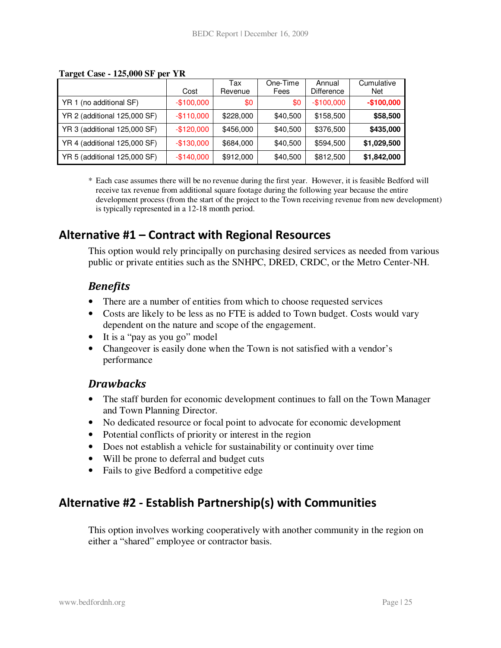|                              |             | Tax       | One-Time | Annual            | Cumulative  |
|------------------------------|-------------|-----------|----------|-------------------|-------------|
|                              | Cost        | Revenue   | Fees     | <b>Difference</b> | Net         |
| YR 1 (no additional SF)      | $-$100,000$ | \$0       | \$0      | $-$100,000$       | $-$100,000$ |
| YR 2 (additional 125,000 SF) | $-$110,000$ | \$228,000 | \$40,500 | \$158,500         | \$58,500    |
| YR 3 (additional 125,000 SF) | $-$120,000$ | \$456,000 | \$40,500 | \$376,500         | \$435,000   |
| YR 4 (additional 125,000 SF) | $-$130,000$ | \$684,000 | \$40,500 | \$594,500         | \$1,029,500 |
| YR 5 (additional 125,000 SF) | $-$140,000$ | \$912,000 | \$40,500 | \$812,500         | \$1,842,000 |

#### **Target Case - 125,000 SF per YR**

\* Each case assumes there will be no revenue during the first year. However, it is feasible Bedford will receive tax revenue from additional square footage during the following year because the entire development process (from the start of the project to the Town receiving revenue from new development) is typically represented in a 12-18 month period.

### Alternative #1 – Contract with Regional Resources

This option would rely principally on purchasing desired services as needed from various public or private entities such as the SNHPC, DRED, CRDC, or the Metro Center-NH.

#### **Benefits**

- There are a number of entities from which to choose requested services
- Costs are likely to be less as no FTE is added to Town budget. Costs would vary dependent on the nature and scope of the engagement.
- It is a "pay as you go" model
- Changeover is easily done when the Town is not satisfied with a vendor's performance

#### **Drawbacks**

- The staff burden for economic development continues to fall on the Town Manager and Town Planning Director.
- No dedicated resource or focal point to advocate for economic development
- Potential conflicts of priority or interest in the region
- Does not establish a vehicle for sustainability or continuity over time
- Will be prone to deferral and budget cuts
- Fails to give Bedford a competitive edge

# Alternative #2 - Establish Partnership(s) with Communities

This option involves working cooperatively with another community in the region on either a "shared" employee or contractor basis.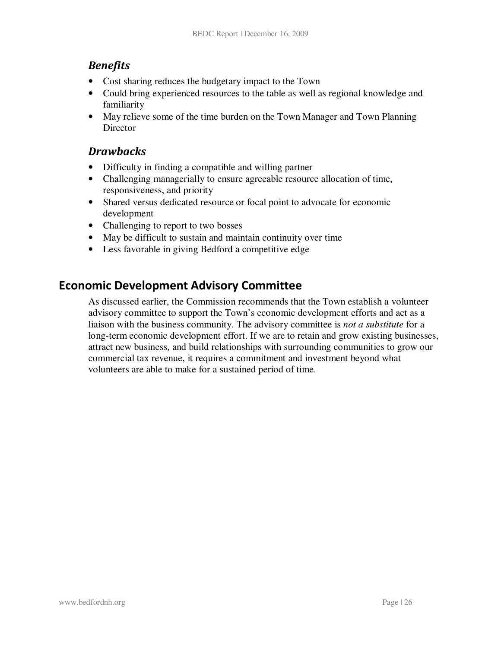#### **Benefits**

- Cost sharing reduces the budgetary impact to the Town
- Could bring experienced resources to the table as well as regional knowledge and familiarity
- May relieve some of the time burden on the Town Manager and Town Planning Director

#### **Drawbacks**

- Difficulty in finding a compatible and willing partner
- Challenging managerially to ensure agreeable resource allocation of time, responsiveness, and priority
- Shared versus dedicated resource or focal point to advocate for economic development
- Challenging to report to two bosses
- May be difficult to sustain and maintain continuity over time
- Less favorable in giving Bedford a competitive edge

### Economic Development Advisory Committee

As discussed earlier, the Commission recommends that the Town establish a volunteer advisory committee to support the Town's economic development efforts and act as a liaison with the business community. The advisory committee is *not a substitute* for a long-term economic development effort. If we are to retain and grow existing businesses, attract new business, and build relationships with surrounding communities to grow our commercial tax revenue, it requires a commitment and investment beyond what volunteers are able to make for a sustained period of time.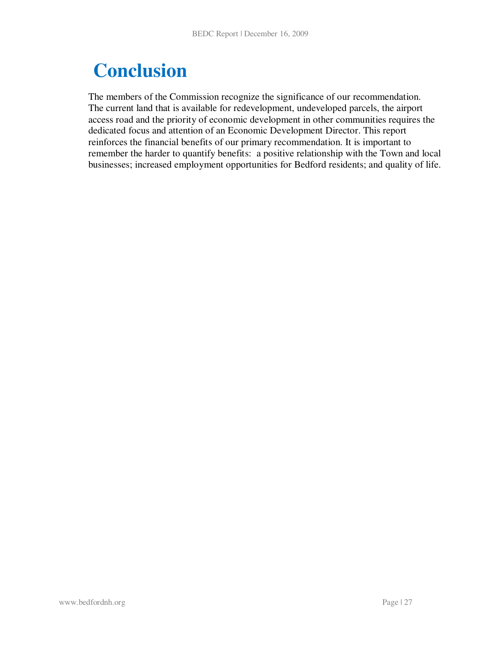# **Conclusion**

The members of the Commission recognize the significance of our recommendation. The current land that is available for redevelopment, undeveloped parcels, the airport access road and the priority of economic development in other communities requires the dedicated focus and attention of an Economic Development Director. This report reinforces the financial benefits of our primary recommendation. It is important to remember the harder to quantify benefits: a positive relationship with the Town and local businesses; increased employment opportunities for Bedford residents; and quality of life.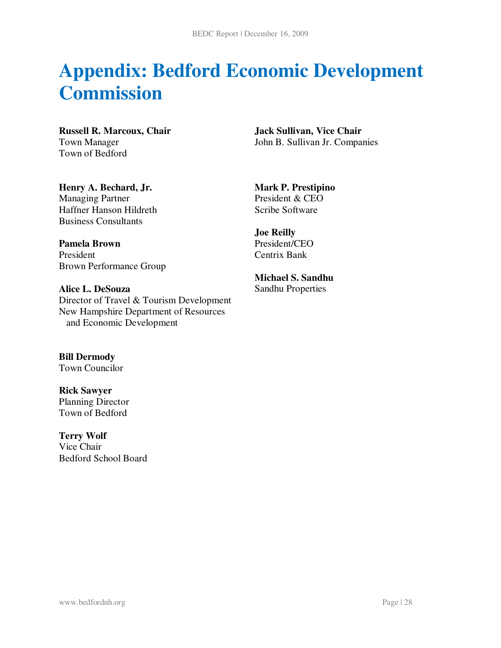# **Appendix: Bedford Economic Development Commission**

**Russell R. Marcoux, Chair**  Town Manager Town of Bedford

**Jack Sullivan, Vice Chair**  John B. Sullivan Jr. Companies

**Henry A. Bechard, Jr.**  Managing Partner Haffner Hanson Hildreth Business Consultants

**Pamela Brown**  President Brown Performance Group

**Alice L. DeSouza**  Director of Travel & Tourism Development New Hampshire Department of Resources and Economic Development

**Bill Dermody**  Town Councilor

**Rick Sawyer**  Planning Director Town of Bedford

**Terry Wolf**  Vice Chair Bedford School Board

**Mark P. Prestipino**  President & CEO Scribe Software

**Joe Reilly**  President/CEO Centrix Bank

**Michael S. Sandhu**  Sandhu Properties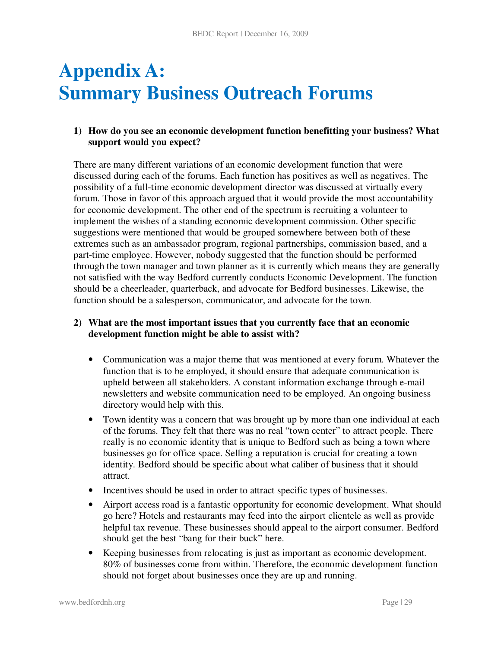# **Appendix A: Summary Business Outreach Forums**

#### **1) How do you see an economic development function benefitting your business? What support would you expect?**

There are many different variations of an economic development function that were discussed during each of the forums. Each function has positives as well as negatives. The possibility of a full-time economic development director was discussed at virtually every forum. Those in favor of this approach argued that it would provide the most accountability for economic development. The other end of the spectrum is recruiting a volunteer to implement the wishes of a standing economic development commission. Other specific suggestions were mentioned that would be grouped somewhere between both of these extremes such as an ambassador program, regional partnerships, commission based, and a part-time employee. However, nobody suggested that the function should be performed through the town manager and town planner as it is currently which means they are generally not satisfied with the way Bedford currently conducts Economic Development. The function should be a cheerleader, quarterback, and advocate for Bedford businesses. Likewise, the function should be a salesperson, communicator, and advocate for the town.

#### **2) What are the most important issues that you currently face that an economic development function might be able to assist with?**

- Communication was a major theme that was mentioned at every forum. Whatever the function that is to be employed, it should ensure that adequate communication is upheld between all stakeholders. A constant information exchange through e-mail newsletters and website communication need to be employed. An ongoing business directory would help with this.
- Town identity was a concern that was brought up by more than one individual at each of the forums. They felt that there was no real "town center" to attract people. There really is no economic identity that is unique to Bedford such as being a town where businesses go for office space. Selling a reputation is crucial for creating a town identity. Bedford should be specific about what caliber of business that it should attract.
- Incentives should be used in order to attract specific types of businesses.
- Airport access road is a fantastic opportunity for economic development. What should go here? Hotels and restaurants may feed into the airport clientele as well as provide helpful tax revenue. These businesses should appeal to the airport consumer. Bedford should get the best "bang for their buck" here.
- Keeping businesses from relocating is just as important as economic development. 80% of businesses come from within. Therefore, the economic development function should not forget about businesses once they are up and running.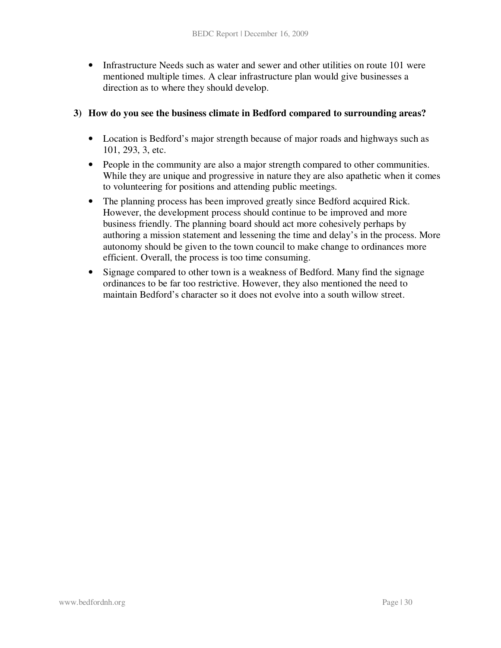• Infrastructure Needs such as water and sewer and other utilities on route 101 were mentioned multiple times. A clear infrastructure plan would give businesses a direction as to where they should develop.

#### **3) How do you see the business climate in Bedford compared to surrounding areas?**

- Location is Bedford's major strength because of major roads and highways such as 101, 293, 3, etc.
- People in the community are also a major strength compared to other communities. While they are unique and progressive in nature they are also apathetic when it comes to volunteering for positions and attending public meetings.
- The planning process has been improved greatly since Bedford acquired Rick. However, the development process should continue to be improved and more business friendly. The planning board should act more cohesively perhaps by authoring a mission statement and lessening the time and delay's in the process. More autonomy should be given to the town council to make change to ordinances more efficient. Overall, the process is too time consuming.
- Signage compared to other town is a weakness of Bedford. Many find the signage ordinances to be far too restrictive. However, they also mentioned the need to maintain Bedford's character so it does not evolve into a south willow street.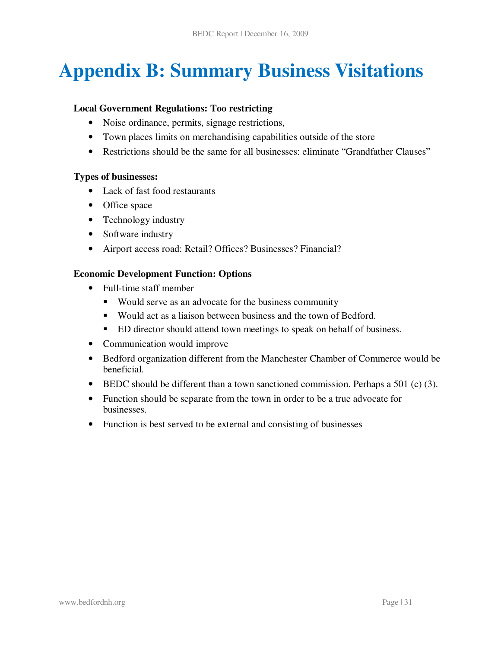# **Appendix B: Summary Business Visitations**

#### **Local Government Regulations: Too restricting**

- Noise ordinance, permits, signage restrictions,
- Town places limits on merchandising capabilities outside of the store
- Restrictions should be the same for all businesses: eliminate "Grandfather Clauses"

#### **Types of businesses:**

- Lack of fast food restaurants
- Office space
- Technology industry
- Software industry
- Airport access road: Retail? Offices? Businesses? Financial?

#### **Economic Development Function: Options**

- Full-time staff member
	- Would serve as an advocate for the business community
	- Would act as a liaison between business and the town of Bedford.
	- ED director should attend town meetings to speak on behalf of business.
- Communication would improve
- Bedford organization different from the Manchester Chamber of Commerce would be beneficial.
- BEDC should be different than a town sanctioned commission. Perhaps a 501 (c) (3).
- Function should be separate from the town in order to be a true advocate for businesses.
- Function is best served to be external and consisting of businesses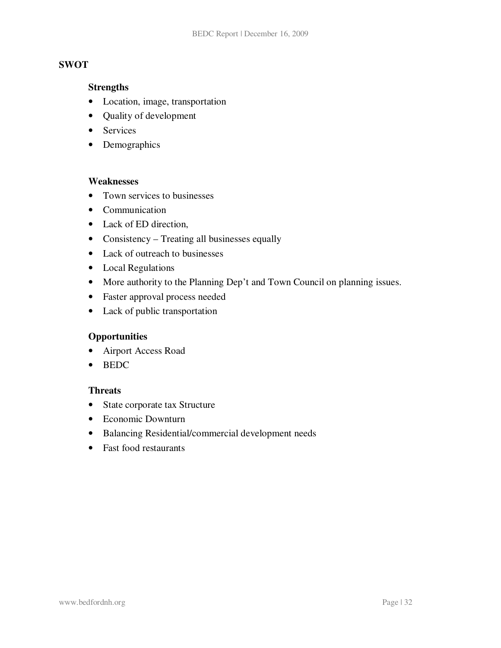#### **SWOT**

#### **Strengths**

- Location, image, transportation
- Quality of development
- Services
- Demographics

#### **Weaknesses**

- Town services to businesses
- Communication
- Lack of ED direction,
- Consistency Treating all businesses equally
- Lack of outreach to businesses
- Local Regulations
- More authority to the Planning Dep't and Town Council on planning issues.
- Faster approval process needed
- Lack of public transportation

#### **Opportunities**

- Airport Access Road
- BEDC

#### **Threats**

- State corporate tax Structure
- Economic Downturn
- Balancing Residential/commercial development needs
- Fast food restaurants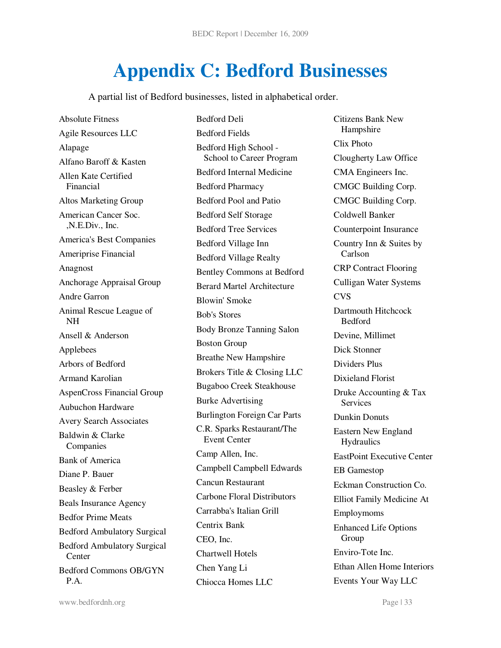# **Appendix C: Bedford Businesses**

A partial list of Bedford businesses, listed in alphabetical order.

Absolute Fitness Agile Resources LLC Alapage Alfano Baroff & Kasten Allen Kate Certified Financial Altos Marketing Group American Cancer Soc. ,N.E.Div., Inc. America's Best Companies Ameriprise Financial Anagnost Anchorage Appraisal Group Andre Garron Animal Rescue League of NH Ansell & Anderson Applebees Arbors of Bedford Armand Karolian AspenCross Financial Group Aubuchon Hardware Avery Search Associates Baldwin & Clarke Companies Bank of America Diane P. Bauer Beasley & Ferber Beals Insurance Agency Bedfor Prime Meats Bedford Ambulatory Surgical Bedford Ambulatory Surgical Center Bedford Commons OB/GYN P.A.

Bedford Deli Bedford Fields Bedford High School - School to Career Program Bedford Internal Medicine Bedford Pharmacy Bedford Pool and Patio Bedford Self Storage Bedford Tree Services Bedford Village Inn Bedford Village Realty Bentley Commons at Bedford Berard Martel Architecture Blowin' Smoke Bob's Stores Body Bronze Tanning Salon Boston Group Breathe New Hampshire Brokers Title & Closing LLC Bugaboo Creek Steakhouse Burke Advertising Burlington Foreign Car Parts C.R. Sparks Restaurant/The Event Center Camp Allen, Inc. Campbell Campbell Edwards Cancun Restaurant Carbone Floral Distributors Carrabba's Italian Grill Centrix Bank CEO, Inc. Chartwell Hotels Chen Yang Li Chiocca Homes LLC

Citizens Bank New Hampshire Clix Photo Clougherty Law Office CMA Engineers Inc. CMGC Building Corp. CMGC Building Corp. Coldwell Banker Counterpoint Insurance Country Inn & Suites by Carlson CRP Contract Flooring Culligan Water Systems CVS Dartmouth Hitchcock Bedford Devine, Millimet Dick Stonner Dividers Plus Dixieland Florist Druke Accounting & Tax Services Dunkin Donuts Eastern New England **Hydraulics** EastPoint Executive Center EB Gamestop Eckman Construction Co. Elliot Family Medicine At Employmoms Enhanced Life Options Group Enviro-Tote Inc. Ethan Allen Home Interiors Events Your Way LLC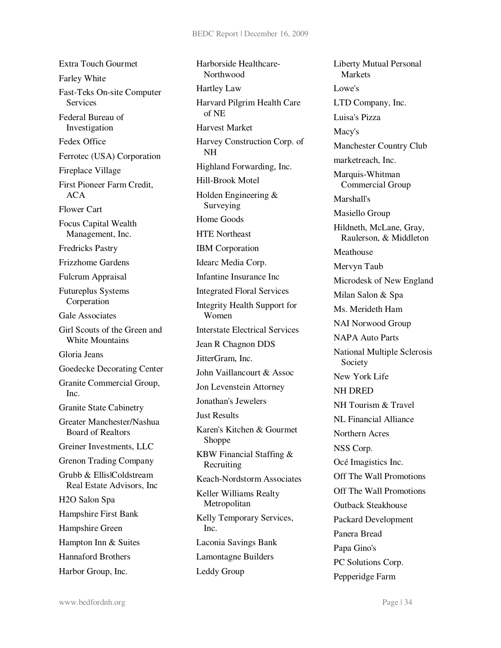Extra Touch Gourmet Farley White Fast-Teks On-site Computer **Services** Federal Bureau of Investigation Fedex Office Ferrotec (USA) Corporation Fireplace Village First Pioneer Farm Credit, ACA Flower Cart Focus Capital Wealth Management, Inc. Fredricks Pastry Frizzhome Gardens Fulcrum Appraisal Futureplus Systems Corperation Gale Associates Girl Scouts of the Green and White Mountains Gloria Jeans Goedecke Decorating Center Granite Commercial Group, Inc. Granite State Cabinetry Greater Manchester/Nashua Board of Realtors Greiner Investments, LLC Grenon Trading Company Grubb & Ellis|Coldstream Real Estate Advisors, Inc H2O Salon Spa Hampshire First Bank Hampshire Green Hampton Inn & Suites Hannaford Brothers Harbor Group, Inc.

Harborside Healthcare-**Northwood** Hartley Law Harvard Pilgrim Health Care of NE Harvest Market Harvey Construction Corp. of NH Highland Forwarding, Inc. Hill-Brook Motel Holden Engineering & Surveying Home Goods HTE Northeast IBM Corporation Idearc Media Corp. Infantine Insurance Inc Integrated Floral Services Integrity Health Support for Women Interstate Electrical Services Jean R Chagnon DDS JitterGram, Inc. John Vaillancourt & Assoc Jon Levenstein Attorney Jonathan's Jewelers Just Results Karen's Kitchen & Gourmet Shoppe KBW Financial Staffing & Recruiting Keach-Nordstorm Associates Keller Williams Realty Metropolitan Kelly Temporary Services, Inc. Laconia Savings Bank Lamontagne Builders Leddy Group

Liberty Mutual Personal Markets Lowe's LTD Company, Inc. Luisa's Pizza Macy's Manchester Country Club marketreach, Inc. Marquis-Whitman Commercial Group Marshall's Masiello Group Hildneth, McLane, Gray, Raulerson, & Middleton Meathouse Mervyn Taub Microdesk of New England Milan Salon & Spa Ms. Merideth Ham NAI Norwood Group NAPA Auto Parts National Multiple Sclerosis Society New York Life NH DRED NH Tourism & Travel NL Financial Alliance Northern Acres NSS Corp. Océ Imagistics Inc. Off The Wall Promotions Off The Wall Promotions Outback Steakhouse Packard Development Panera Bread Papa Gino's PC Solutions Corp. Pepperidge Farm